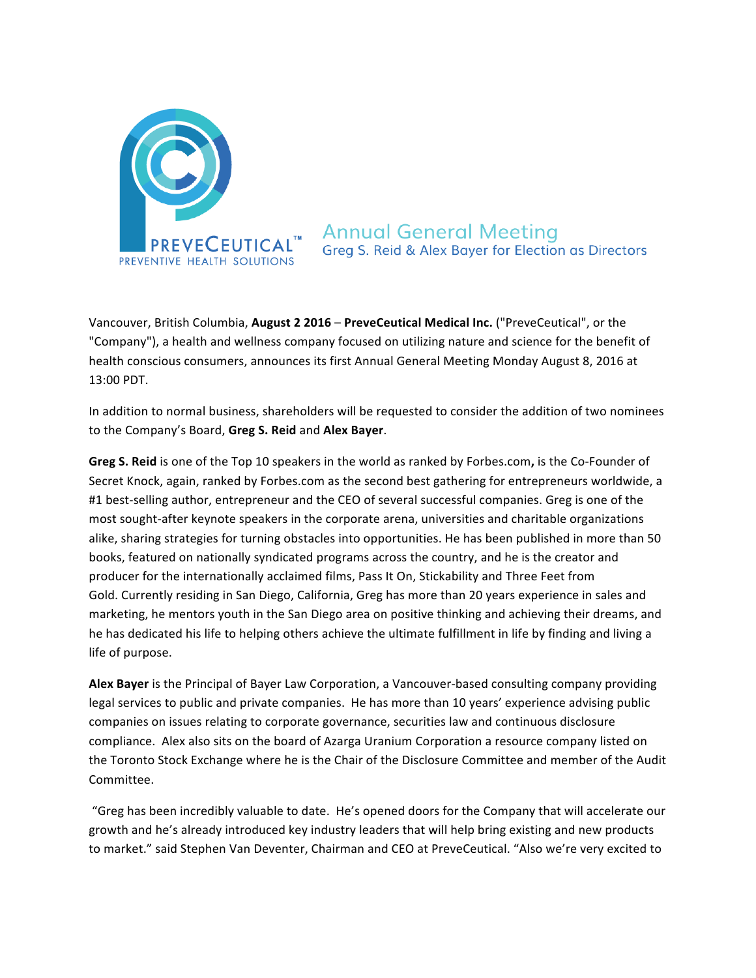

**Annual General Meeting** Greg S. Reid & Alex Bayer for Election as Directors

Vancouver, British Columbia, August 2 2016 – PreveCeutical Medical Inc. ("PreveCeutical", or the "Company"), a health and wellness company focused on utilizing nature and science for the benefit of health conscious consumers, announces its first Annual General Meeting Monday August 8, 2016 at 13:00 PDT.

In addition to normal business, shareholders will be requested to consider the addition of two nominees to the Company's Board, **Greg S. Reid** and **Alex Bayer**.

Greg S. Reid is one of the Top 10 speakers in the world as ranked by Forbes.com, is the Co-Founder of Secret Knock, again, ranked by Forbes.com as the second best gathering for entrepreneurs worldwide, a #1 best-selling author, entrepreneur and the CEO of several successful companies. Greg is one of the most sought-after keynote speakers in the corporate arena, universities and charitable organizations alike, sharing strategies for turning obstacles into opportunities. He has been published in more than 50 books, featured on nationally syndicated programs across the country, and he is the creator and producer for the internationally acclaimed films, Pass It On, Stickability and Three Feet from Gold. Currently residing in San Diego, California, Greg has more than 20 years experience in sales and marketing, he mentors youth in the San Diego area on positive thinking and achieving their dreams, and he has dedicated his life to helping others achieve the ultimate fulfillment in life by finding and living a life of purpose.

**Alex Bayer** is the Principal of Bayer Law Corporation, a Vancouver-based consulting company providing legal services to public and private companies. He has more than 10 years' experience advising public companies on issues relating to corporate governance, securities law and continuous disclosure compliance. Alex also sits on the board of Azarga Uranium Corporation a resource company listed on the Toronto Stock Exchange where he is the Chair of the Disclosure Committee and member of the Audit Committee.

"Greg has been incredibly valuable to date. He's opened doors for the Company that will accelerate our growth and he's already introduced key industry leaders that will help bring existing and new products to market." said Stephen Van Deventer, Chairman and CEO at PreveCeutical. "Also we're very excited to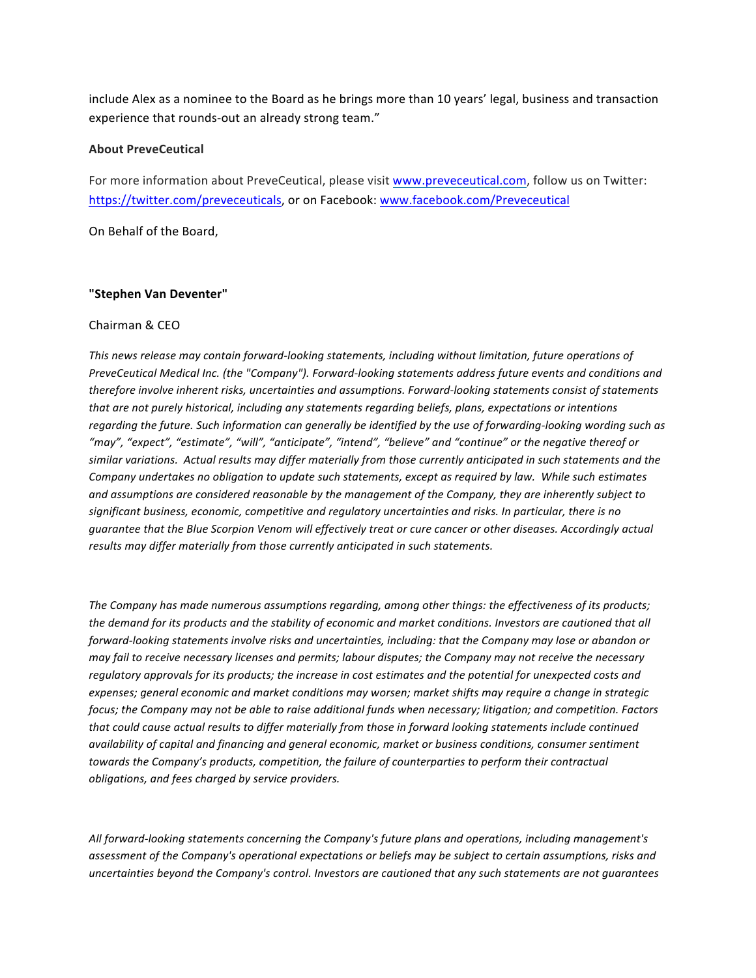include Alex as a nominee to the Board as he brings more than 10 years' legal, business and transaction experience that rounds-out an already strong team."

## **About PreveCeutical**

For more information about PreveCeutical, please visit www.preveceutical.com, follow us on Twitter: https://twitter.com/preveceuticals, or on Facebook: www.facebook.com/Preveceutical

On Behalf of the Board,

## **"Stephen Van Deventer"**

## Chairman & CEO

This news release may contain forward-looking statements, including without limitation, future operations of *PreveCeutical Medical Inc.* (the "Company"). Forward-looking statements address future events and conditions and *therefore involve inherent risks, uncertainties and assumptions. Forward-looking statements consist of statements* that are not purely historical, including any statements regarding beliefs, plans, expectations or intentions regarding the future. Such information can generally be identified by the use of forwarding-looking wording such as "may", "expect", "estimate", "will", "anticipate", "intend", "believe" and "continue" or the negative thereof or similar variations. Actual results may differ materially from those currently anticipated in such statements and the *Company undertakes no obligation to update such statements, except as required by law. While such estimates* and assumptions are considered reasonable by the management of the Company, they are inherently subject to significant business, economic, competitive and regulatory uncertainties and risks. In particular, there is no guarantee that the Blue Scorpion Venom will effectively treat or cure cancer or other diseases. Accordingly actual *results* may differ materially from those currently anticipated in such statements.

The Company has made numerous assumptions regarding, among other things: the effectiveness of its products; the demand for its products and the stability of economic and market conditions. Investors are cautioned that all *forward-looking statements involve risks and uncertainties, including: that the Company may lose or abandon or may fail to receive necessary licenses and permits; labour disputes; the Company may not receive the necessary* regulatory approvals for its products; the increase in cost estimates and the potential for unexpected costs and expenses; general economic and market conditions may worsen; market shifts may require a change in strategic *focus;* the Company may not be able to raise additional funds when necessary; litigation; and competition. Factors that could cause actual results to differ materially from those in forward looking statements include continued *availability* of capital and financing and general economic, market or business conditions, consumer sentiment *towards* the Company's products, competition, the failure of counterparties to perform their contractual *obligations, and fees charged by service providers.* 

All forward-looking statements concerning the Company's future plans and operations, including management's assessment of the Company's operational expectations or beliefs may be subject to certain assumptions, risks and *uncertainties* beyond the Company's control. Investors are cautioned that any such statements are not quarantees